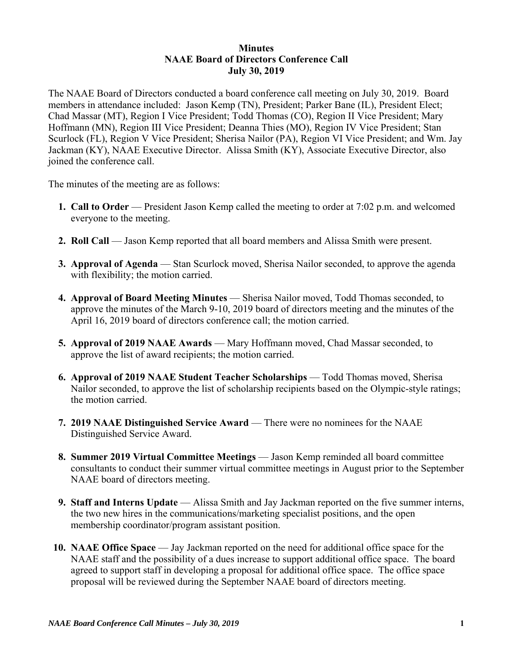## **Minutes NAAE Board of Directors Conference Call July 30, 2019**

The NAAE Board of Directors conducted a board conference call meeting on July 30, 2019. Board members in attendance included: Jason Kemp (TN), President; Parker Bane (IL), President Elect; Chad Massar (MT), Region I Vice President; Todd Thomas (CO), Region II Vice President; Mary Hoffmann (MN), Region III Vice President; Deanna Thies (MO), Region IV Vice President; Stan Scurlock (FL), Region V Vice President; Sherisa Nailor (PA), Region VI Vice President; and Wm. Jay Jackman (KY), NAAE Executive Director. Alissa Smith (KY), Associate Executive Director, also joined the conference call.

The minutes of the meeting are as follows:

- **1. Call to Order** President Jason Kemp called the meeting to order at 7:02 p.m. and welcomed everyone to the meeting.
- **2. Roll Call** Jason Kemp reported that all board members and Alissa Smith were present.
- **3. Approval of Agenda** Stan Scurlock moved, Sherisa Nailor seconded, to approve the agenda with flexibility; the motion carried.
- **4. Approval of Board Meeting Minutes** Sherisa Nailor moved, Todd Thomas seconded, to approve the minutes of the March 9-10, 2019 board of directors meeting and the minutes of the April 16, 2019 board of directors conference call; the motion carried.
- **5. Approval of 2019 NAAE Awards**  Mary Hoffmann moved, Chad Massar seconded, to approve the list of award recipients; the motion carried.
- **6. Approval of 2019 NAAE Student Teacher Scholarships**  Todd Thomas moved, Sherisa Nailor seconded, to approve the list of scholarship recipients based on the Olympic-style ratings; the motion carried.
- **7. 2019 NAAE Distinguished Service Award There were no nominees for the NAAE** Distinguished Service Award.
- **8. Summer 2019 Virtual Committee Meetings** Jason Kemp reminded all board committee consultants to conduct their summer virtual committee meetings in August prior to the September NAAE board of directors meeting.
- **9. Staff and Interns Update** Alissa Smith and Jay Jackman reported on the five summer interns, the two new hires in the communications/marketing specialist positions, and the open membership coordinator/program assistant position.
- **10. NAAE Office Space**  Jay Jackman reported on the need for additional office space for the NAAE staff and the possibility of a dues increase to support additional office space. The board agreed to support staff in developing a proposal for additional office space. The office space proposal will be reviewed during the September NAAE board of directors meeting.